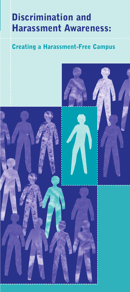# **Discrimination and Harassment Awareness:**

# **Creating a Harassment-Free Campus**

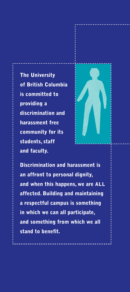**The University of British Columbia is committed to providing a discrimination and harassment free community for its students, staff and faculty.**



**Discrimination and harassment is an affront to personal dignity, and when this happens, we are ALL affected. Building and maintaining a respectful campus is something in which we can all participate, and something from which we all stand to benefit.**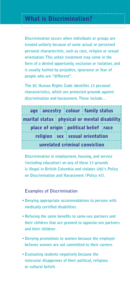**Discrimination occurs when individuals or groups are treated unfairly because of some actual or perceived personal characteristic, such as race, religion or sexual orientation. This unfair treatment may come in the form of a denied opportunity, exclusion or isolation, and is usually fuelled by prejudice, ignorance or fear of people who are "different".**

**The BC Human Rights Code identifies 13 personal characteristics, which are protected grounds against discrimination and harassment. These include...**



**Discrimination in employment, housing, and service (including education) on any of these 13 grounds is illegal in British Columbia and violates UBC's Policy on Discrimination and Harassment (Policy #3).**

**Examples of Discrimination**

- **•Denying appropriate accommodations to persons with medically certified disabilities**
- **•Refusing the same benefits to same-sex partners and their children that are granted to opposite-sex partners and their children**
- **Denying promotions to women because the employer believes women are not committed to their careers**
- **Evaluating students negatively because the instructor disapproves of their political, religious or cultural beliefs**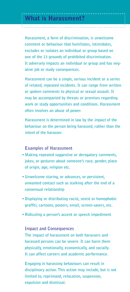**Harassment, a form of discrimination, is unwelcome comment or behaviour that humiliates, intimidates, excludes or isolates an individual or group based on one of the 13 grounds of prohibited discrimination. It adversely impacts an individual or group and has negative job or study consequences.**

**Harassment can be a single, serious incident or a series of related, repeated incidents. It can range from written or spoken comments to physical or sexual assault. It may be accompanied by threats or promises regarding work or study opportunities and conditions. Harassment often involves an abuse of power.**

**Harassment is determined in law by the impact of the behaviour on the person being harassed, rather than the intent of the harasser.**

#### **Examples of Harassment**

- **Making repeated suggestive or derogatory comments, jokes, or gestures about someone's race, gender, place of origin, age, religion etc.**
- **• Unwelcome staring, or advances, or persistent, unwanted contact such as stalking after the end of a consensual relationship**
- **•Displaying or distributing racist, sexist or homophobic graffiti, cartoons, posters, email, screen-savers, etc.**
- **Ridiculing a person's accent or speech impediment**

### **Impact and Consequences**

**The impact of harassment on both harassers and harassed persons can be severe. It can harm them physically, emotionally, economically, and socially. It can affect careers and academic performance.**

**Engaging in harassing behaviours can result in disciplinary action. This action may include, but is not limited to, reprimand, relocation, suspension, expulsion and dismissal.**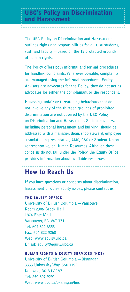**The UBC Policy on Discrimination and Harassment outlines rights and responsibilities for all UBC students, staff and faculty—based on the 13 protected grounds of human rights.**

**The Policy offers both informal and formal procedures for handling complaints. Wherever possible, complaints are managed using the informal procedures. Equity Advisors are advocates for the Policy; they do not act as advocates for either the complainant or the respondent.**

**Harassing, unfair or threatening behaviours that do not involve any of the thirteen grounds of prohibited discrimination are not covered by the UBC Policy on Discrimination and Harassment. Such behaviours, including personal harassment and bullying, should be addressed with a manager, dean, shop steward, employee association representative, AMS, GSS or Student Union representative, or Human Resources. Although these concerns do not fall under the Policy, the Equity Office provides information about available resources.**

# **How to Reach Us**

**If you have questions or concerns about discrimination, harassment or other equity issues, please contact us.**

#### **THE EQUITY OFFICE**

**University of British Columbia—Vancouver Room 2306 Brock Hall 1874 East Mall Vancouver, BC V6T 1Z1 Tel: 604-822-6353 Fax: 604-822-3260 Web: www.equity.ubc.ca Email: equity@equity.ubc.ca**

#### **HUMAN RIGHTS & EQUITY SERVICES (HES)**

**University of British Columbia—Okanagan 3333 University Way, SSC 119F Kelowna, BC V1V 1V7 Tel: 250-807-9291 Web: www.ubc.ca/okanagan/hes**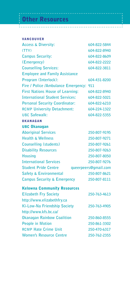### **Other Resources**

**VANCOUVER Access & Diversity: 604-822-5844 (TTY) 604-822-8940 Campus Security: 604-822-8609 (Emergency) 604-822-2222 Counselling Services: 604-822-3811 Employee and Family Assistance Program (Interlock): 604-431-8200 Fire / Police /Ambulance Emergency: 911 First Nations House of Learning: 604-822-8940 International Student Services: 604-822-5021** Personal Security Coordinator: 604-822-6210 **RCMP University Detachment: 604-224-1322 UBC Safewalk: 604-822-5355 OKANAGAN UBC Okanagan Aboriginal Services 250-807-9195 Health & Wellness 250-807-9271 Counselling (students) 250-807-9261 Disability Resources 250-807-9263 Housing 250-807-8050 International Services 250-807-9276 Student Pride Centre queerpeers@gmail.com Safety & Environmental 250-807-8621 Campus Security & Emergency 250-807-8111 Kelowna Community Resources Elizabeth Fry Society 250-763-4613 http://www.elizabethfry.ca Ki-Low-Na Friendship Society 250-763-4905 http://www.kfs.bc.ca/ Okanagan Rainbow Coalition 250-860-8555 People in Motion 250-861-3302 RCMP Hate Crime Unit 250-470-6317** Women's Resource Centre 250-762-2355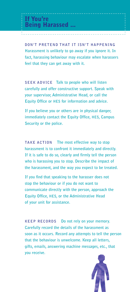**DON'T PRETEND THAT IT ISN'T HAPPENING Harassment is unlikely to go away if you ignore it. In fact, harassing behaviour may escalate when harassers feel that they can get away with it.**

**SEEK ADVICE Talk to people who will listen carefully and offer constructive support. Speak with your supervisor, Administrative Head, or call the Equity Office or HES for information and advice.**

**If you believe you or others are in physical danger, immediately contact the Equity Office, HES, Campus Security or the police.**

**TAKE ACTION The most effective way to stop harassment is to confront it immediately and directly. If it is safe to do so, clearly and firmly tell the person who is harassing you to stop. Describe the impact of the harassment, and the way you expect to be treated.**

**If you find that speaking to the harasser does not stop the behaviour or if you do not want to communicate directly with the person, approach the Equity Office, HES, or the Administrative Head of your unit for assistance.**

**KEEP RECORDS Do not rely on your memory. Carefully record the details of the harassment as soon as it occurs. Record any attempts to tell the person that the behaviour is unwelcome. Keep all letters, gifts, emails, answering machine messages, etc., that you receive.**

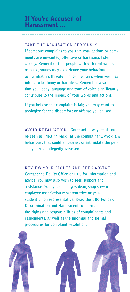**TAKE THE ACCUSATION SERIOUSLY If someone complains to you that your actions or comments are unwanted, offensive or harassing, listen closely. Remember that people with different values or backgrounds may experience your behaviour as humiliating, threatening, or insulting, when you may intend to be funny or harmless. Remember also that your body language and tone of voice significantly contribute to the impact of your words and actions.**

**If you believe the complaint is fair, you may want to apologize for the discomfort or offense you caused.**

**AVOID RETALIATION Don't act in ways that could be seen as "getting back" at the complainant. Avoid any behaviours that could embarrass or intimidate the person you have allegedly harassed.**

**REVIEW YOUR RIGHTS AND SEEK ADVICE Contact the Equity Office or HES for information and advice. You may also wish to seek support and assistance from your manager, dean, shop steward, employee association representative or your student union representative. Read the UBC Policy on Discrimination and Harassment to learn about the rights and responsibilities of complainants and respondents, as well as the informal and formal procedures for complaint resolution.**

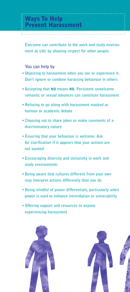**Everyone can contribute to the work and study environment at UBC by showing respect for other people.**

### **You can help by**

- **Objecting to harassment when you see or experience it. Don't ignore or condone harassing behaviour in others**
- **Accepting that NO means NO. Persistent unwelcome romantic or sexual advances can constitute harassment**
- **Refusing to go along with harassment masked as humour or academic debate**
- **Choosing not to share jokes or make comments of a discriminatory nature**
- **•Ensuring that your behaviour is welcome. Ask for clarification if it appears that your actions are not wanted**
- **Encouraging diversity and inclusivity in work and study environments**
- **Being aware that cultures different from your own may interpret actions differently than you do**
- **Being mindful of power differentials, particularly when power is used to enhance intimidation or vulnerability**
- **• Offering support and resources to anyone experiencing harassment**